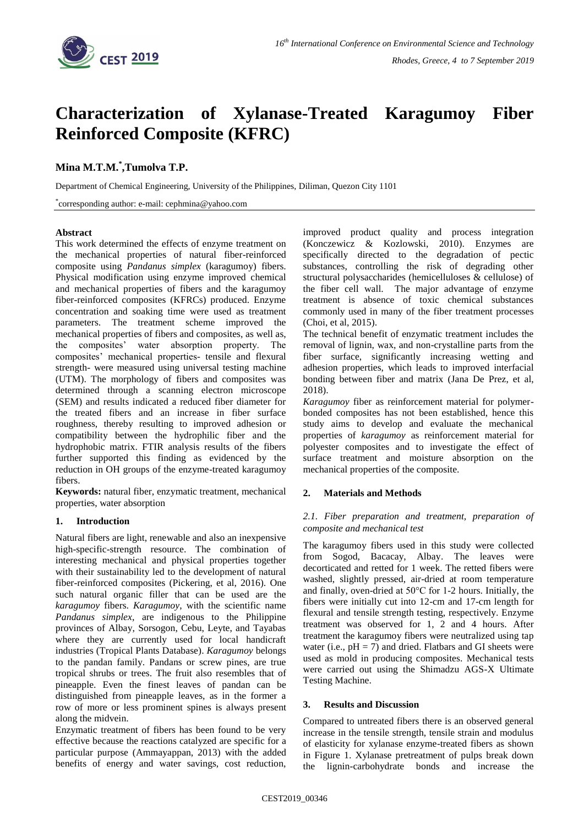

# **Characterization of Xylanase-Treated Karagumoy Fiber Reinforced Composite (KFRC)**

## **Mina M.T.M.\* ,Tumolva T.P.**

Department of Chemical Engineering, University of the Philippines, Diliman, Quezon City 1101

\* corresponding author: e-mail: cephmina@yahoo.com

#### **Abstract**

This work determined the effects of enzyme treatment on the mechanical properties of natural fiber-reinforced composite using *Pandanus simplex* (karagumoy) fibers. Physical modification using enzyme improved chemical and mechanical properties of fibers and the karagumoy fiber-reinforced composites (KFRCs) produced. Enzyme concentration and soaking time were used as treatment parameters. The treatment scheme improved the mechanical properties of fibers and composites, as well as, the composites' water absorption property. The composites' mechanical properties- tensile and flexural strength- were measured using universal testing machine (UTM). The morphology of fibers and composites was determined through a scanning electron microscope (SEM) and results indicated a reduced fiber diameter for the treated fibers and an increase in fiber surface roughness, thereby resulting to improved adhesion or compatibility between the hydrophilic fiber and the hydrophobic matrix. FTIR analysis results of the fibers further supported this finding as evidenced by the reduction in OH groups of the enzyme-treated karagumoy fibers.

**Keywords:** natural fiber, enzymatic treatment, mechanical properties, water absorption

## **1. Introduction**

Natural fibers are light, renewable and also an inexpensive high-specific-strength resource. The combination of interesting mechanical and physical properties together with their sustainability led to the development of natural fiber-reinforced composites (Pickering, et al, 2016). One such natural organic filler that can be used are the *karagumoy* fibers. *Karagumoy*, with the scientific name *Pandanus simplex*, are indigenous to the Philippine provinces of Albay, Sorsogon, Cebu, Leyte, and Tayabas where they are currently used for local handicraft industries (Tropical Plants Database). *Karagumoy* belongs to the pandan family. Pandans or screw pines, are true tropical shrubs or trees. The fruit also resembles that of pineapple. Even the finest leaves of pandan can be distinguished from pineapple leaves, as in the former a row of more or less prominent spines is always present along the midvein.

Enzymatic treatment of fibers has been found to be very effective because the reactions catalyzed are specific for a particular purpose (Ammayappan, 2013) with the added benefits of energy and water savings, cost reduction,

improved product quality and process integration (Konczewicz & Kozlowski, 2010). Enzymes are specifically directed to the degradation of pectic substances, controlling the risk of degrading other structural polysaccharides (hemicelluloses & cellulose) of the fiber cell wall. The major advantage of enzyme treatment is absence of toxic chemical substances commonly used in many of the fiber treatment processes (Choi, et al, 2015).

The technical benefit of enzymatic treatment includes the removal of lignin, wax, and non-crystalline parts from the fiber surface, significantly increasing wetting and adhesion properties, which leads to improved interfacial bonding between fiber and matrix (Jana De Prez, et al, 2018).

*Karagumoy* fiber as reinforcement material for polymerbonded composites has not been established, hence this study aims to develop and evaluate the mechanical properties of *karagumoy* as reinforcement material for polyester composites and to investigate the effect of surface treatment and moisture absorption on the mechanical properties of the composite.

## **2. Materials and Methods**

### *2.1. Fiber preparation and treatment, preparation of composite and mechanical test*

The karagumoy fibers used in this study were collected from Sogod, Bacacay, Albay. The leaves were decorticated and retted for 1 week. The retted fibers were washed, slightly pressed, air-dried at room temperature and finally, oven-dried at 50°C for 1-2 hours. Initially, the fibers were initially cut into 12-cm and 17-cm length for flexural and tensile strength testing, respectively. Enzyme treatment was observed for 1, 2 and 4 hours. After treatment the karagumoy fibers were neutralized using tap water (i.e.,  $pH = 7$ ) and dried. Flatbars and GI sheets were used as mold in producing composites. Mechanical tests were carried out using the Shimadzu AGS-X Ultimate Testing Machine.

#### **3. Results and Discussion**

Compared to untreated fibers there is an observed general increase in the tensile strength, tensile strain and modulus of elasticity for xylanase enzyme-treated fibers as shown in Figure 1. Xylanase pretreatment of pulps break down the lignin-carbohydrate bonds and increase the